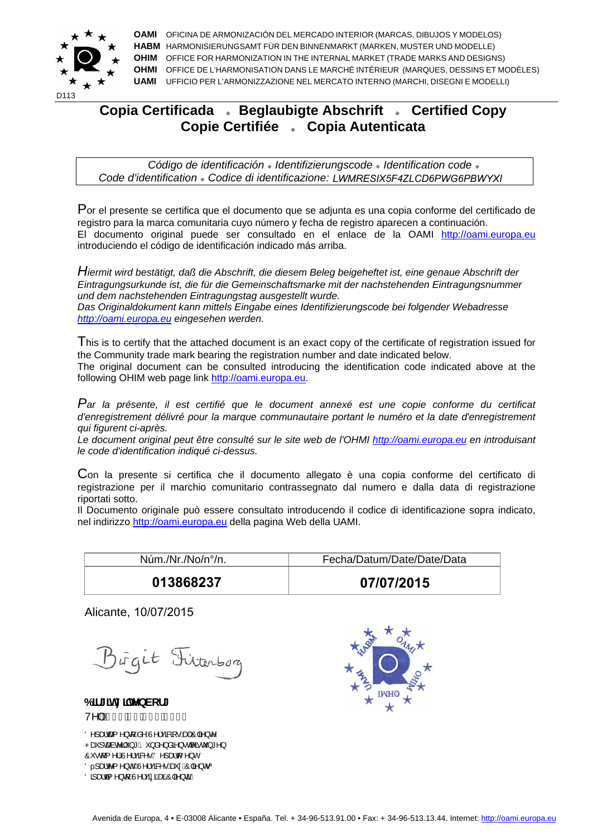

**OAMI** OFICINA DE ARMONIZACIÓN DEL MERCADO INTERIOR (MARCAS, DIBUJOS Y MODELOS) **HABM** HARMONISIERUNGSAMT FÜR DEN BINNENMARKT (MARKEN, MUSTER UND MODELLE) **OHIM** OFFICE FOR HARMONIZATION IN THE INTERNAL MARKET (TRADE MARKS AND DESIGNS) **OHMI** OFFICE DE L'HARMONISATION DANS LE MARCHÉ INTÉRIEUR (MARQUES, DESSINS ET MODÈLES) **UAMI** UFFICIO PER L'ARMONIZZAZIONE NEL MERCATO INTERNO (MARCHI, DISEGNI E MODELLI)

## **Copia Certificada Beglaubigte Abschrift Certified Copy Copie Certifiée Copia Autenticata**

*Código de identificación Identifizierungscode Identification code Code d'identification Codice di identificazione:*

Por el presente se certifica que el documento que se adjunta es una copia conforme del certificado de registro para la marca comunitaria cuyo número y fecha de registro aparecen a continuación. El documento original puede ser consultado en el enlace de la OAMI http://oami.europa.eu introduciendo el código de identificación indicado más arriba. **Traentification • Codice di identificazione: LWMRESIX5F4ZLCD6PWG6PBWYXI**<br>
the se certifica que el documento que se adjunta es una copia conforme del certifica<br>
la marca comunitaria cuyo número y fecha de registro aparecen

*Hiermit wird bestätigt, daß die Abschrift, die diesem Beleg beigeheftet ist, eine genaue Abschrift der Eintragungsurkunde ist, die für die Gemeinschaftsmarke mit der nachstehenden Eintragungsnummer und dem nachstehenden Eintragungstag ausgestellt wurde.* 

*Das Originaldokument kann mittels Eingabe eines Identifizierungscode bei folgender Webadresse http://oami.europa.eu eingesehen werden.* 

This is to certify that the attached document is an exact copy of the certificate of registration issued for the Community trade mark bearing the registration number and date indicated below. The original document can be consulted introducing the identification code indicated above at the following OHIM web page link http://oami.europa.eu.

*Par la présente, il est certifié que le document annexé est une copie conforme du certificat d'enregistrement délivré pour la marque communautaire portant le numéro et la date d'enregistrement qui figurent ci-après.* 

*Le document original peut être consulté sur le site web de l'OHMI http://oami.europa.eu en introduisant le code d'identification indiqué ci-dessus.* 

Con la presente si certifica che il documento allegato è una copia conforme del certificato di registrazione per il marchio comunitario contrassegnato dal numero e dalla data di registrazione riportati sotto.

Il Documento originale può essere consultato introducendo il codice di identificazione sopra indicato, nel indirizzo http://oami.europa.eu della pagina Web della UAMI.

| Núm./Nr./No/n°/n. | Fecha/Datum/Date/Date/Data |
|-------------------|----------------------------|
| 013868237         | 07/07/2015                 |

Alicante, 10/07/2015

Birgit Fiterborg

6 **If**[ ]h: ] MbVcf[ V^IÈÆHIÁJÎÁÍFHÂIÌI

Onlastes nld  $A\Lambda\Lambda$ icaRa · Assiónalen  $P\tilde{a}$  |  $\tilde{a}$  $\tilde{a}$  |  $\tilde{b}$   $\tilde{b}$  |  $\tilde{b}$   $\tilde{c}$  |  $\tilde{a}$  |  $\tilde{a}$  |  $\tilde{a}$  |  $\tilde{a}$  |  $\tilde{a}$  |  $\tilde{a}$  |  $\tilde{a}$  |  $\tilde{c}$  |  $\tilde{b}$   $\tilde{c}$  |  $\tilde{b}$   $\tilde{c}$  |  $\tilde{b}$  |  $\tilde{b}$  | Ô · • q{ ^¦ÂJ^¦çæN•ÁÖ^]æd{ ^} c Ö.læc{^}o4Ù^¦çæ∧•Áeĕ¢ÁÔ|a^}oø Og ælca ^} of Av Içã absalo a } call

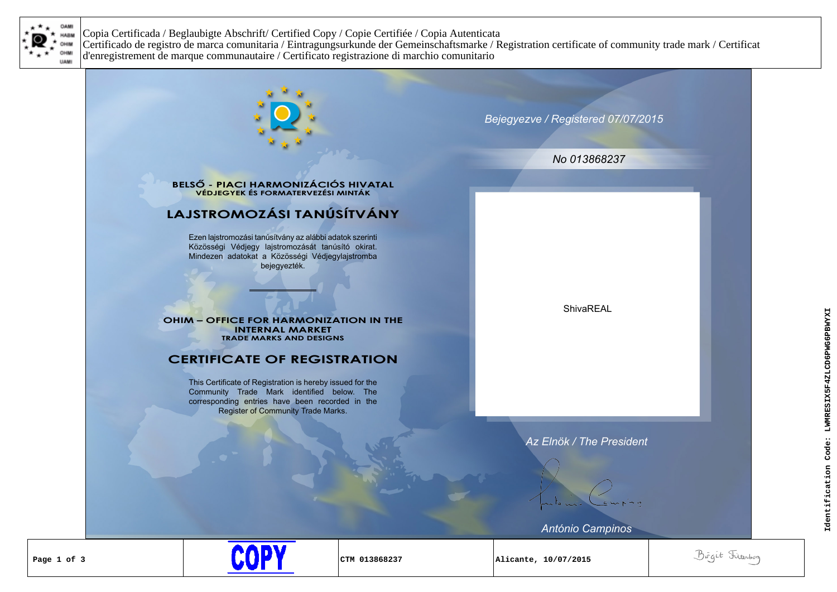

Copia Certificada / Beglaubigte Abschrift/ Certified Copy / Copie Certifiée / Copia Autenticata Certificado de registro de marca comunitaria / Eintragungsurkunde der Gemeinschaftsmarke / Registration certificate of community trade mark / Certificat d'enregistrement de marque communautaire / Certificato registrazione di marchio comunitario

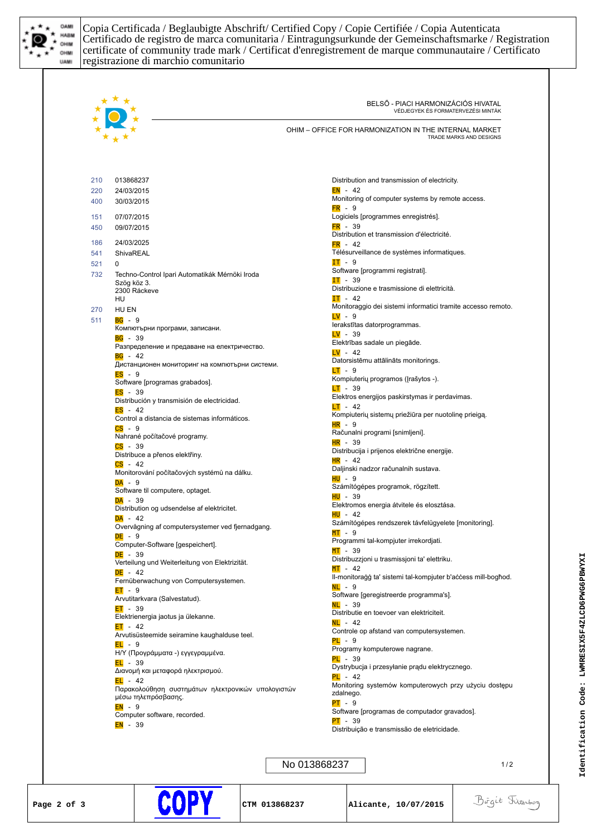

Copia Certificada / Beglaubigte Abschrift/ Certified Copy / Copie Certifiée / Copia Autenticata Certificado de registro de marca comunitaria / Eintragungsurkunde der Gemeinschaftsmarke / Registration certificate of community trade mark / Certificat d'enregistrement de marque communautaire / Certificato registrazione di marchio comunitario

|     |                                                                          | OHIM - OFFICE FOR HARMONIZATION IN THE INTERNAL MARKET<br>TRADE MARKS AND DESIGNS |
|-----|--------------------------------------------------------------------------|-----------------------------------------------------------------------------------|
| 210 | 013868237                                                                | Distribution and transmission of electricity.                                     |
| 220 | 24/03/2015                                                               | $EN - 42$                                                                         |
| 400 | 30/03/2015                                                               | Monitoring of computer systems by remote access.                                  |
| 151 | 07/07/2015                                                               | $FR - 9$<br>Logiciels [programmes enregistrés].                                   |
| 450 | 09/07/2015                                                               | $FR - 39$                                                                         |
| 186 | 24/03/2025                                                               | Distribution et transmission d'électricité.                                       |
| 541 | ShivaREAL                                                                | $FR - 42$<br>Télésurveillance de systèmes informatiques.                          |
| 521 | 0                                                                        | $IT - 9$                                                                          |
| 732 | Techno-Control Ipari Automatikák Mérnöki Iroda                           | Software [programmi registrati].                                                  |
|     | Szög köz 3.<br>2300 Ráckeve                                              | $IT - 39$<br>Distribuzione e trasmissione di elettricità.                         |
|     | HU                                                                       | $IT - 42$                                                                         |
| 270 | HU EN                                                                    | Monitoraggio dei sistemi informatici tramite accesso remoto.                      |
| 511 | $BG - 9$                                                                 | $LV - 9$<br>lerakstītas datorprogrammas.                                          |
|     | Компютърни програми, записани.<br>$BG - 39$                              | $LV - 39$                                                                         |
|     | Разпределение и предаване на електричество.                              | Elektrības sadale un piegāde.                                                     |
|     | $BG - 42$                                                                | $LV - 42$<br>Datorsistēmu attālināts monitorings.                                 |
|     | Дистанционен мониторинг на компютърни системи.<br>$ES - 9$               | $LT - 9$                                                                          |
|     | Software [programas grabados].                                           | Kompiuterių programos (Įrašytos -).                                               |
|     | $ES - 39$                                                                | <mark>LT</mark> - 39<br>Elektros energijos paskirstymas ir perdavimas.            |
|     | Distribución y transmisión de electricidad.<br>$ES - 42$                 | $LT - 42$                                                                         |
|     | Control a distancia de sistemas informáticos.                            | Kompiuterių sistemų priežiūra per nuotolinę prieigą.                              |
|     | $CS - 9$                                                                 | <mark>HR</mark> - 9<br>Računalni programi [snimljeni].                            |
|     | Nahrané počítačové programy.<br>$CS - 39$                                | HR - 39                                                                           |
|     | Distribuce a přenos elektřiny.                                           | Distribucija i prijenos električne energije.                                      |
|     | $CS - 42$                                                                | $HR - 42$<br>Daljinski nadzor računalnih sustava.                                 |
|     | Monitorování počítačových systémů na dálku.<br>$DA - 9$                  | <mark>HU</mark> - 9                                                               |
|     | Software til computere, optaget.                                         | Számítógépes programok, rögzített.                                                |
|     | $DA - 39$                                                                | <mark>HU</mark> - 39<br>Elektromos energia átvitele és elosztása.                 |
|     | Distribution og udsendelse af elektricitet.<br>$DA - 42$                 | HU - 42                                                                           |
|     | Overvågning af computersystemer ved fjernadgang.                         | Számítógépes rendszerek távfelügyelete [monitoring].                              |
|     | $DE - 9$                                                                 | <mark>MT</mark> - 9<br>Programmi tal-kompjuter irrekordjati.                      |
|     | Computer-Software [gespeichert].<br>$DE - 39$                            | $MT - 39$                                                                         |
|     | Verteilung und Weiterleitung von Elektrizität.                           | Distribuzzjoni u trasmissjoni ta' elettriku.                                      |
|     | $DE - 42$                                                                | $MT - 42$<br>II-monitoraĝo ta' sistemi tal-kompjuter b'access mill-boghod.        |
|     | Fernüberwachung von Computersystemen.<br>$ET - 9$                        | $NL - 9$                                                                          |
|     | Arvutitarkvara (Salvestatud).                                            | Software [geregistreerde programma's].                                            |
|     | $ET - 39$                                                                | $NL - 39$<br>Distributie en toevoer van elektriciteit.                            |
|     | Elektrienergia jaotus ja ülekanne.<br>$ET - 42$                          | $NL - 42$                                                                         |
|     | Arvutisüsteemide seiramine kaughalduse teel.                             | Controle op afstand van computersystemen.                                         |
|     | $EL - 9$                                                                 | $PL - 9$<br>Programy komputerowe nagrane.                                         |
|     | Η/Υ (Προγράμματα -) εγγεγραμμένα.<br>$EL - 39$                           | $PL - 39$                                                                         |
|     | Διανομή και μεταφορά ηλεκτρισμού.                                        | Dystrybucja i przesyłanie prądu elektrycznego.                                    |
|     | $EL - 42$                                                                | $PL - 42$<br>Monitoring systemów komputerowych przy użyciu dostępu                |
|     | Παρακολούθηση συστημάτων ηλεκτρονικών υπολογιστών<br>μέσω τηλεπρόσβασης. | zdalnego.                                                                         |
|     | $EN - 9$                                                                 | $PT - 9$<br>Software [programas de computador gravados].                          |
|     | Computer software, recorded.                                             | $PT - 39$                                                                         |
|     | EN - 39                                                                  | Distribuição e transmissão de eletricidade.                                       |
|     |                                                                          |                                                                                   |

**Identification Code: LWMRESIX5F4ZLCD6PWG6PBWYXI**

Identification Code: LWMRESIX5F4ZLCD6PWG6PBWYXI



**COPY**